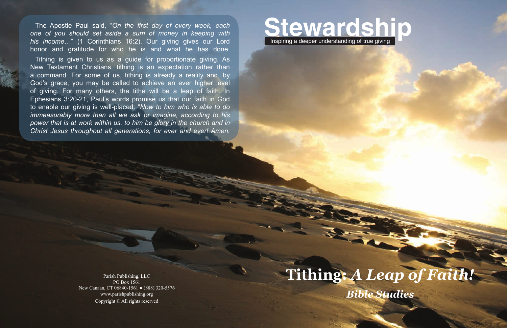

# **Tithing:** *A Leap of Faith! Bible Studies*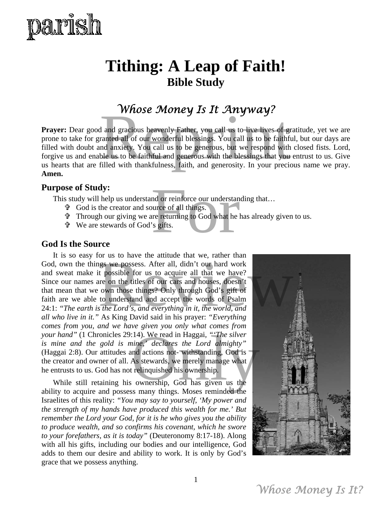

## **Tithing: A Leap of Faith! Bible Study**

### *Whose Money Is It Anyway?*

**Prayer:** Dear good and gracious heavenly Father, you call us to live lives of gratitude, yet we are prone to take for granted all of our wonderful blessings. You call us to be faithful, but our days are filled with doubt and anxiety. You call us to be generous, but we respond with closed fists. Lord, forgive us and enable us to be faithful and generous with the blessings that you entrust to us. Give us hearts that are filled with thankfulness, faith, and generosity. In your precious name we pray. **Amen. Whose Money Is It Anyway!**<br>I and gracious heavenly Father, you call us to live lives of gratituded all of our wonderful blessings. You call us to be faithful, bu nd anxiety. You call us to be generous, but we respond with

#### **Purpose of Study:**

This study will help us understand or reinforce our understanding that...

- God is the creator and source of all things.
- Through our giving we are returning to God what he has already given to us. nd or reinforce our understanding<br>ource of all things.<br>tre returning to God what he has al<br>'s gifts.
- We are stewards of God's gifts.

#### **God Is the Source**

It is so easy for us to have the attitude that we, rather than God, own the things we possess. After all, didn't our hard work and sweat make it possible for us to acquire all that we have? Since our names are on the titles of our cars and houses, doesn't that mean that we own those things? Only through God's gift of faith are we able to understand and accept the words of Psalm 24:1: *"The earth is the Lord's, and everything in it, the world, and all who live in it."* As King David said in his prayer: *"Everything comes from you, and we have given you only what comes from your hand"* (1 Chronicles 29:14). We read in Haggai*, "'The silver is mine and the gold is mine,' declares the Lord almighty"* (Haggai 2:8). Our attitudes and actions not- withstanding, God is the creator and owner of all. As stewards, we merely manage what he entrusts to us. God has not relinquished his ownership. or us to have the attitude that we, rather than<br>hgs we possess. After all, didn't our hard work<br>t possible for us to acquire all that we have?<br>are on the titles of our cars and houses, doesn't<br>own those things? Only throug The sites of the sites of the sites of the sites of the sites of the sites of the sites of the sites of the sites of the sites of the sites of the sites of the sites of the sites of the sites of the sites of the sites of t

While still retaining his ownership, God has given us the ability to acquire and possess many things. Moses reminded the Israelites of this reality: *"You may say to yourself, 'My power and the strength of my hands have produced this wealth for me.' But remember the Lord your God, for it is he who gives you the ability to produce wealth, and so confirms his covenant, which he swore to your forefathers, as it is today"* (Deuteronomy 8:17-18). Along with all his gifts, including our bodies and our intelligence, God adds to them our desire and ability to work. It is only by God's grace that we possess anything.

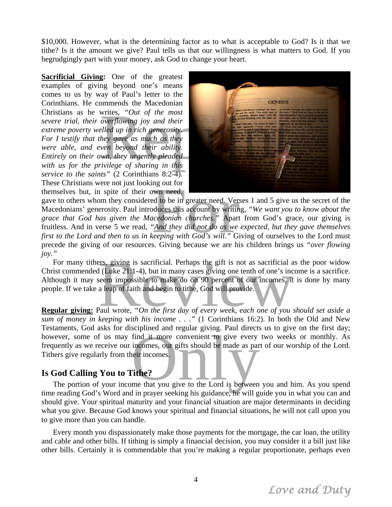\$10,000. However, what is the determining factor as to what is acceptable to God? Is it that we tithe? Is it the amount we give? Paul tells us that our willingness is what matters to God. If you begrudgingly part with your money, ask God to change your heart.

**Sacrificial Giving:** One of the greatest examples of giving beyond one's means comes to us by way of Paul's letter to the Corinthians. He commends the Macedonian Christians as he writes, *"Out of the most severe trial, their overflowing joy and their extreme poverty welled up in rich generosity. For I testify that they gave as much as they were able, and even beyond their ability. Entirely on their own, they urgently pleaded with us for the privilege of sharing in this service to the saints"* (2 Corinthians 8:2-4). These Christians were not just looking out for themselves but, in spite of their own need,



gave to others whom they considered to be in greater need. Verses 1 and 5 give us the secret of the Macedonians' generosity. Paul introduces this account by writing, *"We want you to know about the grace that God has given the Macedonian churches."* Apart from God's grace, our giving is fruitless. And in verse 5 we read, *"And they did not do as we expected, but they gave themselves first to the Lord and then to us in keeping with God's will."* Giving of ourselves to the Lord must precede the giving of our resources. Giving because we are his children brings us *"over flowing joy."*  Imp out for<br>
Example 18 and to be in greater need. Verses 1<br>
pduces this account by writing, "V<br> *seedonian churches.*" Apart from<br>
"And they did not do as we expect<br> *seeping with God's will.*" Giving<br>
see Giving because

For many tithers, giving is sacrificial. Perhaps the gift is not as sacrificial as the poor widow Christ commended (Luke 21:1-4), but in many cases giving one tenth of one's income is a sacrifice. Although it may seem impossible to make do on 90 percent of our incomes, it is done by many people. If we take a leap of faith and begin to tithe, God will provide. ers, giving is sacrificial. Perhaps the gift is not as sacrificial as the diffuse 21:1-4), but in many cases giving one tenth of one's income<br>seem impossible to make do on 90 percent of our incomes, it is do<br>a leap of fai

**Regular giving:** Paul wrote, *"On the first day of every week, each one of you should set aside a sum of money in keeping with his income . . ."* (1 Corinthians 16:2). In both the Old and New Testaments, God asks for disciplined and regular giving. Paul directs us to give on the first day; Festallients, God asks for disciplined and regular giving. Fault directs us to give on the first day, however, some of us may find it more convenient to give every two weeks or monthly. As frequently as we receive our inco frequently as we receive our incomes, our gifts should be made as part of our worship of the Lord. Tithers give regularly from their incomes.

#### **Is God Calling You to Tithe?**

The portion of your income that you give to the Lord is between you and him. As you spend time reading God's Word and in prayer seeking his guidance, he will guide you in what you can and should give. Your spiritual maturity and your financial situation are major determinants in deciding what you give. Because God knows your spiritual and financial situations, he will not call upon you to give more than you can handle.

Every month you dispassionately make those payments for the mortgage, the car loan, the utility and cable and other bills. If tithing is simply a financial decision, you may consider it a bill just like other bills. Certainly it is commendable that you're making a regular proportionate, perhaps even

*Love and Duty*